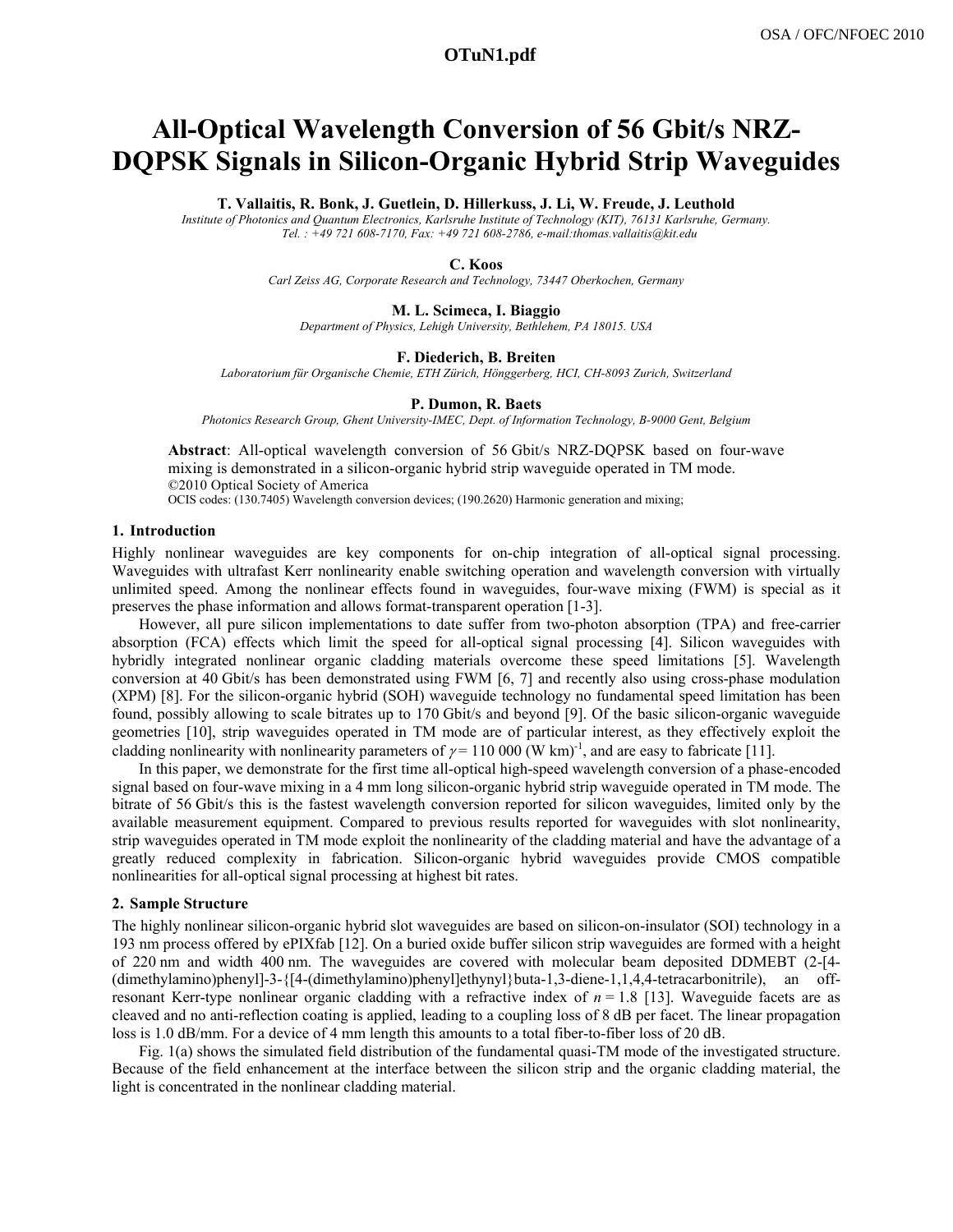# **a1831\_1.pdf OTuN1.pdf**

# **All-Optical Wavelength Conversion of 56 Gbit/s NRZ-DQPSK Signals in Silicon-Organic Hybrid Strip Waveguides**

**T. Vallaitis, R. Bonk, J. Guetlein, D. Hillerkuss, J. Li, W. Freude, J. Leuthold** 

*Institute of Photonics and Quantum Electronics, Karlsruhe Institute of Technology (KIT), 76131 Karlsruhe, Germany. Tel. : +49 721 608-7170, Fax: +49 721 608-2786, e-mail:thomas.vallaitis@kit.edu* 

#### **C. Koos**

*Carl Zeiss AG, Corporate Research and Technology, 73447 Oberkochen, Germany* 

#### **M. L. Scimeca, I. Biaggio**

*Department of Physics, Lehigh University, Bethlehem, PA 18015. USA* 

# **F. Diederich, B. Breiten** *Laboratorium für Organische Chemie, ETH Zürich, Hönggerberg, HCI, CH-8093 Zurich, Switzerland*

#### **P. Dumon, R. Baets**

*Photonics Research Group, Ghent University-IMEC, Dept. of Information Technology, B-9000 Gent, Belgium* 

**Abstract**: All-optical wavelength conversion of 56 Gbit/s NRZ-DQPSK based on four-wave mixing is demonstrated in a silicon-organic hybrid strip waveguide operated in TM mode. ©2010 Optical Society of America

OCIS codes: (130.7405) Wavelength conversion devices; (190.2620) Harmonic generation and mixing;

# **1. Introduction**

Highly nonlinear waveguides are key components for on-chip integration of all-optical signal processing. Waveguides with ultrafast Kerr nonlinearity enable switching operation and wavelength conversion with virtually unlimited speed. Among the nonlinear effects found in waveguides, four-wave mixing (FWM) is special as it preserves the phase information and allows format-transparent operation [1-3].

However, all pure silicon implementations to date suffer from two-photon absorption (TPA) and free-carrier absorption (FCA) effects which limit the speed for all-optical signal processing [4]. Silicon waveguides with hybridly integrated nonlinear organic cladding materials overcome these speed limitations [5]. Wavelength conversion at 40 Gbit/s has been demonstrated using FWM [6, 7] and recently also using cross-phase modulation (XPM) [8]. For the silicon-organic hybrid (SOH) waveguide technology no fundamental speed limitation has been found, possibly allowing to scale bitrates up to 170 Gbit/s and beyond [9]. Of the basic silicon-organic waveguide geometries [10], strip waveguides operated in TM mode are of particular interest, as they effectively exploit the cladding nonlinearity with nonlinearity parameters of  $\gamma = 110000$  (W km)<sup>-1</sup>, and are easy to fabricate [11].

In this paper, we demonstrate for the first time all-optical high-speed wavelength conversion of a phase-encoded signal based on four-wave mixing in a 4 mm long silicon-organic hybrid strip waveguide operated in TM mode. The bitrate of 56 Gbit/s this is the fastest wavelength conversion reported for silicon waveguides, limited only by the available measurement equipment. Compared to previous results reported for waveguides with slot nonlinearity, strip waveguides operated in TM mode exploit the nonlinearity of the cladding material and have the advantage of a greatly reduced complexity in fabrication. Silicon-organic hybrid waveguides provide CMOS compatible nonlinearities for all-optical signal processing at highest bit rates.

#### **2. Sample Structure**

The highly nonlinear silicon-organic hybrid slot waveguides are based on silicon-on-insulator (SOI) technology in a 193 nm process offered by ePIXfab [12]. On a buried oxide buffer silicon strip waveguides are formed with a height of 220 nm and width 400 nm. The waveguides are covered with molecular beam deposited DDMEBT (2-[4- (dimethylamino)phenyl]-3-{[4-(dimethylamino)phenyl]ethynyl}buta-1,3-diene-1,1,4,4-tetracarbonitrile), an offresonant Kerr-type nonlinear organic cladding with a refractive index of *n* = 1.8 [13]. Waveguide facets are as cleaved and no anti-reflection coating is applied, leading to a coupling loss of 8 dB per facet. The linear propagation loss is 1.0 dB/mm. For a device of 4 mm length this amounts to a total fiber-to-fiber loss of 20 dB.

Fig. 1(a) shows the simulated field distribution of the fundamental quasi-TM mode of the investigated structure. Because of the field enhancement at the interface between the silicon strip and the organic cladding material, the light is concentrated in the nonlinear cladding material.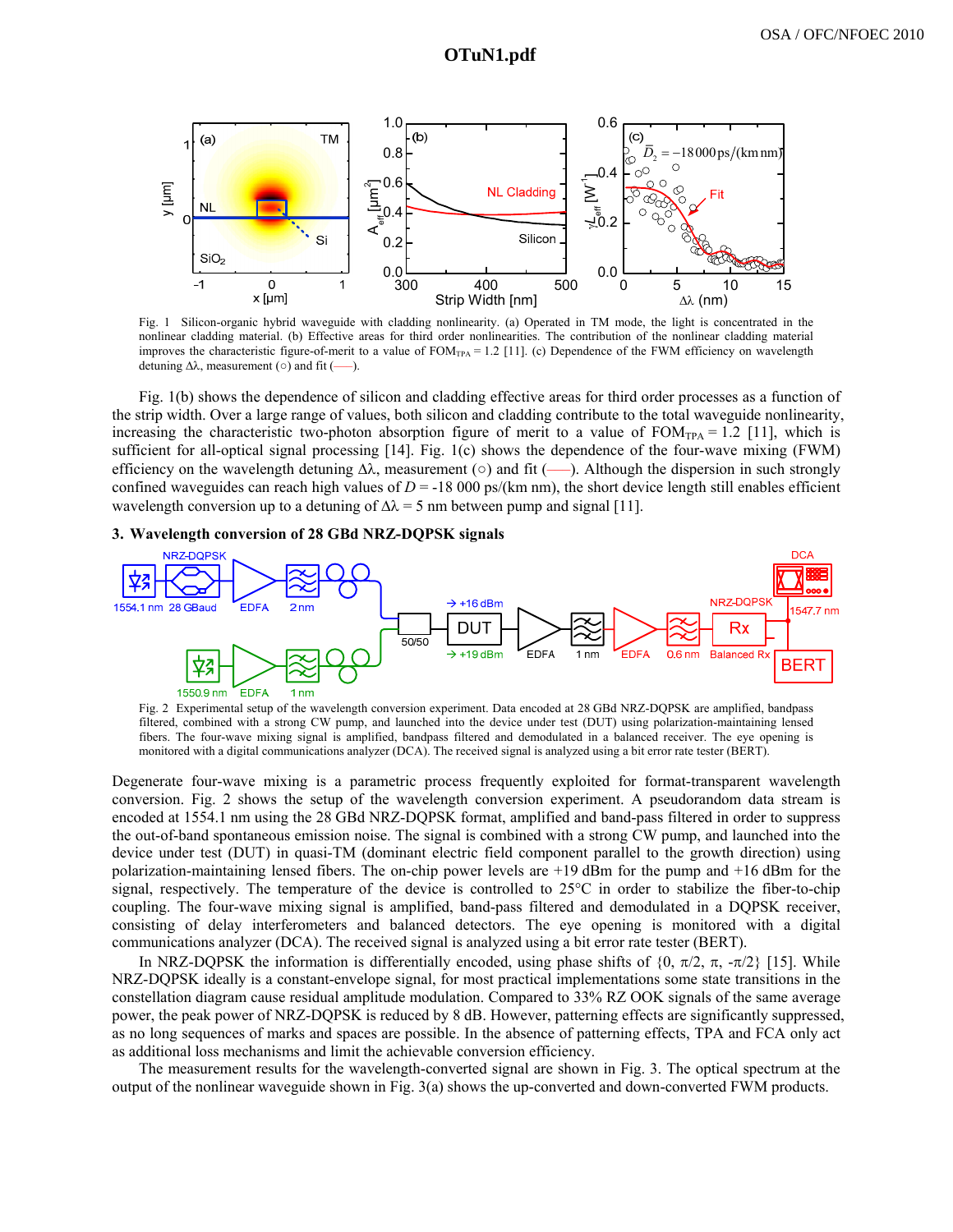

Fig. 1 Silicon-organic hybrid waveguide with cladding nonlinearity. (a) Operated in TM mode, the light is concentrated in the nonlinear cladding material. (b) Effective areas for third order nonlinearities. The contribution of the nonlinear cladding material improves the characteristic figure-of-merit to a value of  $FOM_{TPA} = 1.2$  [11]. (c) Dependence of the FWM efficiency on wavelength detuning  $\Delta\lambda$ , measurement ( $\circ$ ) and fit (—–).

Fig. 1(b) shows the dependence of silicon and cladding effective areas for third order processes as a function of the strip width. Over a large range of values, both silicon and cladding contribute to the total waveguide nonlinearity, increasing the characteristic two-photon absorption figure of merit to a value of  $FOM_{TPA} = 1.2$  [11], which is sufficient for all-optical signal processing [14]. Fig. 1(c) shows the dependence of the four-wave mixing (FWM) efficiency on the wavelength detuning  $\Delta\lambda$ , measurement ( $\circ$ ) and fit (—). Although the dispersion in such strongly confined waveguides can reach high values of  $D = -18000 \text{ ps/(km nm)}$ , the short device length still enables efficient wavelength conversion up to a detuning of  $\Delta\lambda = 5$  nm between pump and signal [11].

### **3. Wavelength conversion of 28 GBd NRZ-DQPSK signals**



Fig. 2 Experimental setup of the wavelength conversion experiment. Data encoded at 28 GBd NRZ-DQPSK are amplified, bandpass filtered, combined with a strong CW pump, and launched into the device under test (DUT) using polarization-maintaining lensed fibers. The four-wave mixing signal is amplified, bandpass filtered and demodulated in a balanced receiver. The eye opening is monitored with a digital communications analyzer (DCA). The received signal is analyzed using a bit error rate tester (BERT).

Degenerate four-wave mixing is a parametric process frequently exploited for format-transparent wavelength conversion. Fig. 2 shows the setup of the wavelength conversion experiment. A pseudorandom data stream is encoded at 1554.1 nm using the 28 GBd NRZ-DQPSK format, amplified and band-pass filtered in order to suppress the out-of-band spontaneous emission noise. The signal is combined with a strong CW pump, and launched into the device under test (DUT) in quasi-TM (dominant electric field component parallel to the growth direction) using polarization-maintaining lensed fibers. The on-chip power levels are +19 dBm for the pump and +16 dBm for the signal, respectively. The temperature of the device is controlled to 25°C in order to stabilize the fiber-to-chip coupling. The four-wave mixing signal is amplified, band-pass filtered and demodulated in a DQPSK receiver, consisting of delay interferometers and balanced detectors. The eye opening is monitored with a digital communications analyzer (DCA). The received signal is analyzed using a bit error rate tester (BERT).

In NRZ-DQPSK the information is differentially encoded, using phase shifts of  $\{0, \pi/2, \pi, -\pi/2\}$  [15]. While NRZ-DQPSK ideally is a constant-envelope signal, for most practical implementations some state transitions in the constellation diagram cause residual amplitude modulation. Compared to 33% RZ OOK signals of the same average power, the peak power of NRZ-DQPSK is reduced by 8 dB. However, patterning effects are significantly suppressed, as no long sequences of marks and spaces are possible. In the absence of patterning effects, TPA and FCA only act as additional loss mechanisms and limit the achievable conversion efficiency.

The measurement results for the wavelength-converted signal are shown in Fig. 3. The optical spectrum at the output of the nonlinear waveguide shown in Fig. 3(a) shows the up-converted and down-converted FWM products.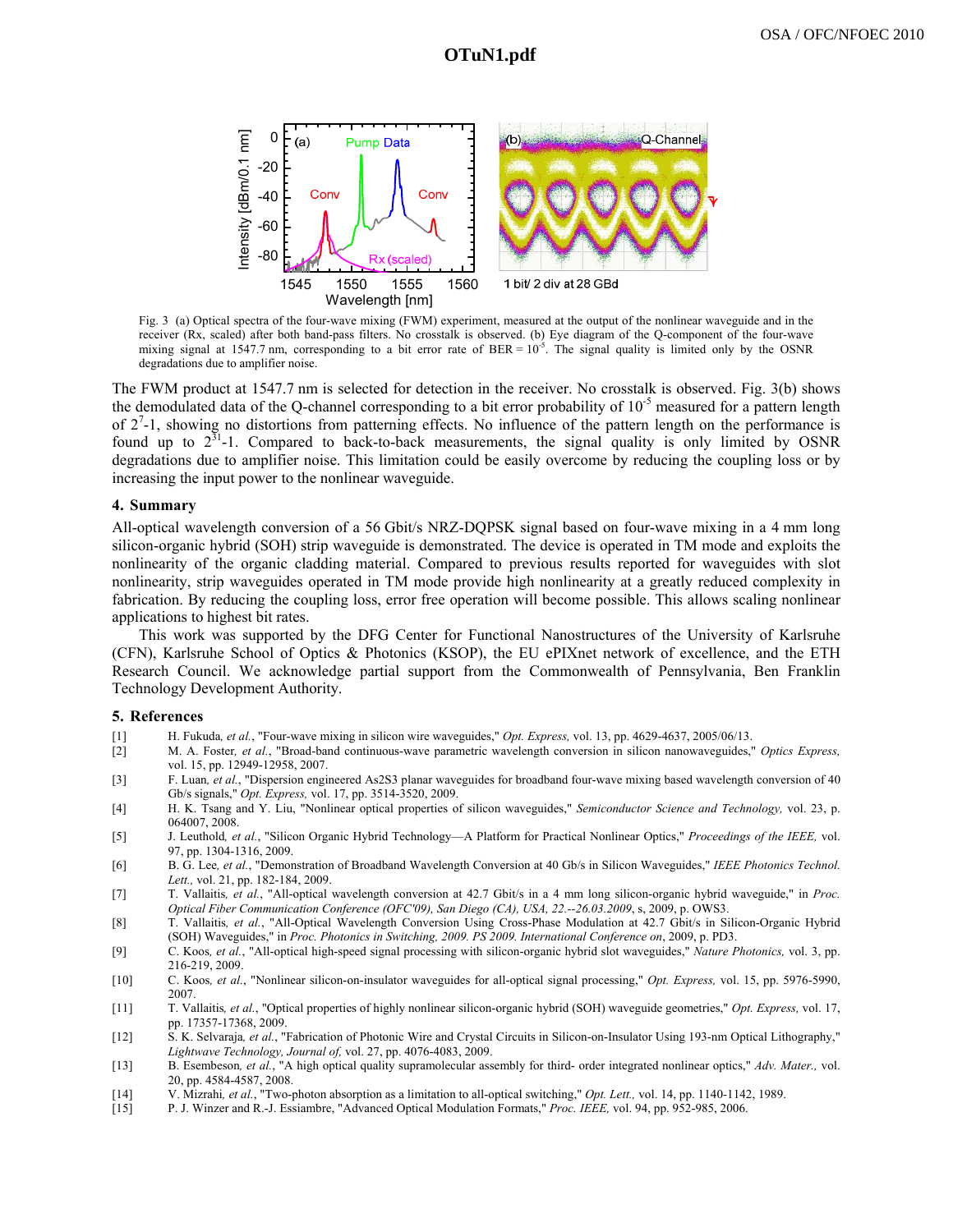

Fig. 3 (a) Optical spectra of the four-wave mixing (FWM) experiment, measured at the output of the nonlinear waveguide and in the receiver (Rx, scaled) after both band-pass filters. No crosstalk is observed. (b) Eye diagram of the Q-component of the four-wave mixing signal at 1547.7 nm, corresponding to a bit error rate of BER =  $10^{-5}$ . The signal quality is limited only by the OSNR degradations due to amplifier noise.

The FWM product at 1547.7 nm is selected for detection in the receiver. No crosstalk is observed. Fig. 3(b) shows the demodulated data of the Q-channel corresponding to a bit error probability of  $10^{-5}$  measured for a pattern length of  $2^7$ -1, showing no distortions from patterning effects. No influence of the pattern length on the performance is found up to  $2^{31}$ -1. Compared to back-to-back measurements, the signal quality is only limited by OSNR degradations due to amplifier noise. This limitation could be easily overcome by reducing the coupling loss or by increasing the input power to the nonlinear waveguide.

# **4. Summary**

All-optical wavelength conversion of a 56 Gbit/s NRZ-DQPSK signal based on four-wave mixing in a 4 mm long silicon-organic hybrid (SOH) strip waveguide is demonstrated. The device is operated in TM mode and exploits the nonlinearity of the organic cladding material. Compared to previous results reported for waveguides with slot nonlinearity, strip waveguides operated in TM mode provide high nonlinearity at a greatly reduced complexity in fabrication. By reducing the coupling loss, error free operation will become possible. This allows scaling nonlinear applications to highest bit rates.

This work was supported by the DFG Center for Functional Nanostructures of the University of Karlsruhe (CFN), Karlsruhe School of Optics & Photonics (KSOP), the EU ePIXnet network of excellence, and the ETH Research Council. We acknowledge partial support from the Commonwealth of Pennsylvania, Ben Franklin Technology Development Authority.

### **5. References**

- [1] H. Fukuda*, et al.*, "Four-wave mixing in silicon wire waveguides," *Opt. Express,* vol. 13, pp. 4629-4637, 2005/06/13.
- [2] M. A. Foster*, et al.*, "Broad-band continuous-wave parametric wavelength conversion in silicon nanowaveguides," *Optics Express,*  vol. 15, pp. 12949-12958, 2007.
- [3] F. Luan*, et al.*, "Dispersion engineered As2S3 planar waveguides for broadband four-wave mixing based wavelength conversion of 40 Gb/s signals," *Opt. Express,* vol. 17, pp. 3514-3520, 2009.
- [4] H. K. Tsang and Y. Liu, "Nonlinear optical properties of silicon waveguides," *Semiconductor Science and Technology,* vol. 23, p. 064007, 2008.
- [5] J. Leuthold*, et al.*, "Silicon Organic Hybrid Technology—A Platform for Practical Nonlinear Optics," *Proceedings of the IEEE,* vol. 97, pp. 1304-1316, 2009.
- [6] B. G. Lee*, et al.*, "Demonstration of Broadband Wavelength Conversion at 40 Gb/s in Silicon Waveguides," *IEEE Photonics Technol. Lett.,* vol. 21, pp. 182-184, 2009.
- [7] T. Vallaitis*, et al.*, "All-optical wavelength conversion at 42.7 Gbit/s in a 4 mm long silicon-organic hybrid waveguide," in *Proc. Optical Fiber Communication Conference (OFC'09), San Diego (CA), USA, 22.--26.03.2009*, s, 2009, p. OWS3.
- [8] T. Vallaitis*, et al.*, "All-Optical Wavelength Conversion Using Cross-Phase Modulation at 42.7 Gbit/s in Silicon-Organic Hybrid (SOH) Waveguides," in *Proc. Photonics in Switching, 2009. PS 2009. International Conference on*, 2009, p. PD3.
- [9] C. Koos*, et al.*, "All-optical high-speed signal processing with silicon-organic hybrid slot waveguides," *Nature Photonics,* vol. 3, pp. 216-219, 2009.
- [10] C. Koos*, et al.*, "Nonlinear silicon-on-insulator waveguides for all-optical signal processing," *Opt. Express,* vol. 15, pp. 5976-5990, 2007.
- [11] T. Vallaitis*, et al.*, "Optical properties of highly nonlinear silicon-organic hybrid (SOH) waveguide geometries," *Opt. Express,* vol. 17, pp. 17357-17368, 2009.
- [12] S. K. Selvaraja*, et al.*, "Fabrication of Photonic Wire and Crystal Circuits in Silicon-on-Insulator Using 193-nm Optical Lithography," *Lightwave Technology, Journal of,* vol. 27, pp. 4076-4083, 2009.
- [13] B. Esembeson*, et al.*, "A high optical quality supramolecular assembly for third- order integrated nonlinear optics," *Adv. Mater.,* vol. 20, pp. 4584-4587, 2008.
- [14] V. Mizrahi*, et al.*, "Two-photon absorption as a limitation to all-optical switching," *Opt. Lett.,* vol. 14, pp. 1140-1142, 1989.
- [15] P. J. Winzer and R.-J. Essiambre, "Advanced Optical Modulation Formats," *Proc. IEEE,* vol. 94, pp. 952-985, 2006.